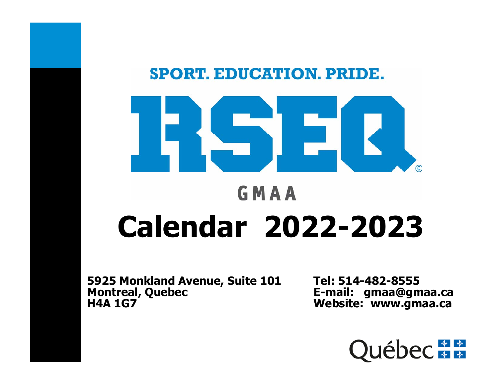

## **Calendar 2022-2023**

**5925 Monkland Avenue, Suite 101 Tel: 514-482-8555<br>Montreal, Quebec E-mail: gmaa@gm<br>H4A 1G7 Website: www.am** 

**Montreal, Quebec E-mail: gmaa@gmaa.ca Website: www.gmaa.ca** 

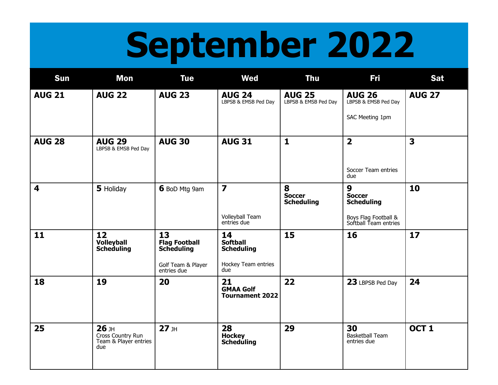## **September 2022**

| Sun                     | <b>Mon</b>                                                   | <b>Tue</b>                                                                           | <b>Wed</b>                                                               | <b>Thu</b>                              | <b>Fri</b>                                                                               | <b>Sat</b>              |
|-------------------------|--------------------------------------------------------------|--------------------------------------------------------------------------------------|--------------------------------------------------------------------------|-----------------------------------------|------------------------------------------------------------------------------------------|-------------------------|
| <b>AUG 21</b>           | <b>AUG 22</b>                                                | <b>AUG 23</b>                                                                        | <b>AUG 24</b><br>LBPSB & EMSB Ped Day                                    | <b>AUG 25</b><br>LBPSB & EMSB Ped Day   | <b>AUG 26</b><br>LBPSB & EMSB Ped Day<br>SAC Meeting 1pm                                 | <b>AUG 27</b>           |
| <b>AUG 28</b>           | <b>AUG 29</b><br>LBPSB & EMSB Ped Day                        | <b>AUG 30</b>                                                                        | <b>AUG 31</b>                                                            | $\mathbf{1}$                            | $\overline{\mathbf{2}}$<br>Soccer Team entries<br>due                                    | $\overline{\mathbf{3}}$ |
| $\overline{\mathbf{4}}$ | 5 Holiday                                                    | 6 BoD Mtg 9am                                                                        | 7<br>Volleyball Team<br>entriés due                                      | 8<br><b>Soccer</b><br><b>Scheduling</b> | 9<br><b>Soccer</b><br><b>Scheduling</b><br>Boys Flag Football &<br>Softball Team entries | 10                      |
| 11                      | 12<br><b>Volleyball</b><br><b>Scheduling</b>                 | 13<br><b>Flag Football</b><br><b>Scheduling</b><br>Golf Team & Player<br>entries due | 14<br><b>Softball</b><br><b>Scheduling</b><br>Hockey Team entries<br>due | 15                                      | 16                                                                                       | 17                      |
| 18                      | 19                                                           | 20                                                                                   | 21<br><b>GMAA Golf</b><br><b>Tournament 2022</b>                         | 22                                      | 23 LBPSB Ped Day                                                                         | 24                      |
| 25                      | $26$ JH<br>Cross Country Run<br>Team & Player entries<br>due | $27$ JH                                                                              | 28<br><b>Hockey<br/>Scheduling</b>                                       | 29                                      | 30<br><b>Basketball Team</b><br>entries due                                              | OCT <sub>1</sub>        |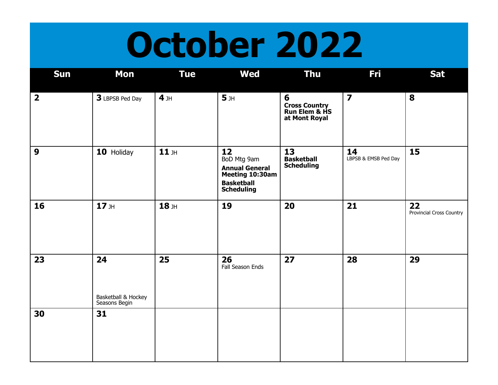### **October 2022**

| Sun                     | <b>Mon</b>                                 | <b>Tue</b>      | <b>Wed</b>                                                                                              | <b>Thu</b>                                                       | <b>Fri</b>                 | <b>Sat</b>                     |
|-------------------------|--------------------------------------------|-----------------|---------------------------------------------------------------------------------------------------------|------------------------------------------------------------------|----------------------------|--------------------------------|
| $\overline{\mathbf{2}}$ | 3 LBPSB Ped Day                            | 4 <sub>JH</sub> | 5 <sub>JH</sub>                                                                                         | 6<br><b>Cross Country<br/>Run Elem &amp; HS</b><br>at Mont Royal | $\overline{\mathbf{z}}$    | 8                              |
| 9                       | 10 Holiday                                 | $11$ JH         | 12<br>BoD Mtg 9am<br><b>Annual General</b><br>Meeting 10:30am<br><b>Basketball</b><br><b>Scheduling</b> | 13<br><b>Basketball</b><br><b>Scheduling</b>                     | 14<br>LBPSB & EMSB Ped Day | 15                             |
| 16                      | $17$ JH                                    | $18$ JH         | 19                                                                                                      | 20                                                               | 21                         | 22<br>Provincial Cross Country |
| 23                      | 24<br>Basketball & Hockey<br>Seasons Begin | 25              | 26<br>Fall Season Ends                                                                                  | 27                                                               | 28                         | 29                             |
| 30                      | 31                                         |                 |                                                                                                         |                                                                  |                            |                                |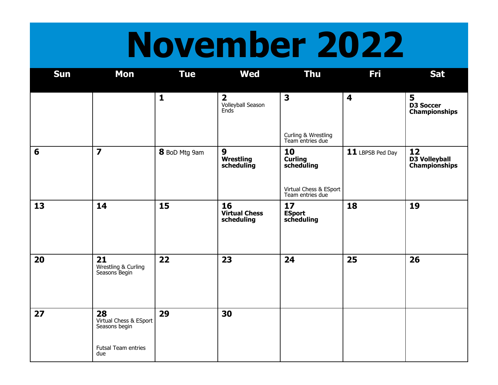## **November 2022**

| Sun | <b>Mon</b>                                                                  | <b>Tue</b>    | <b>Wed</b>                                           | <b>Thu</b>                                                                       | Fri                     | <b>Sat</b>                                    |
|-----|-----------------------------------------------------------------------------|---------------|------------------------------------------------------|----------------------------------------------------------------------------------|-------------------------|-----------------------------------------------|
|     |                                                                             | $\mathbf{1}$  | $\overline{\mathbf{2}}$<br>Volleyball Season<br>Ends | $\overline{\mathbf{3}}$<br>Curling & Wrestling<br>Team entries due               | $\overline{\mathbf{4}}$ | 5<br><b>D3 Soccer</b><br><b>Championships</b> |
| 6   | $\overline{\mathbf{z}}$                                                     | 8 BoD Mtg 9am | 9<br><b>Wrestling</b><br>scheduling                  | 10<br><b>Curling</b><br>scheduling<br>Virtual Chess & ESport<br>Team entries due | 11 LBPSB Ped Day        | 12<br><b>D3 Volleyball</b><br>Championships   |
| 13  | 14                                                                          | 15            | 16<br><b>Virtual Chess</b><br>scheduling             | 17<br>ESport<br>scheduling                                                       | 18                      | 19                                            |
| 20  | 21<br>Wrestling & Curling<br>Seasons Begin                                  | 22            | 23                                                   | 24                                                                               | 25                      | 26                                            |
| 27  | 28<br>Virtual Chess & ESport<br>Seasons begin<br>Futsal Team entries<br>due | 29            | 30                                                   |                                                                                  |                         |                                               |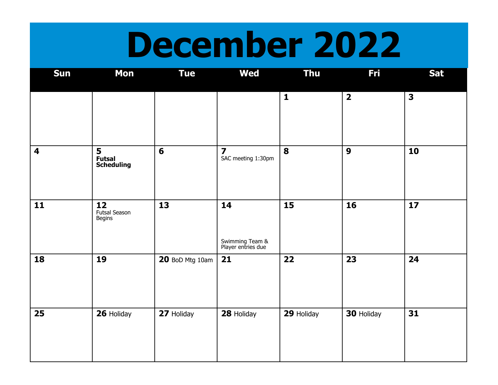### **December 2022**

| <b>Sun</b>              | <b>Mon</b>                           | <b>Tue</b>      | <b>Wed</b>                                    | Thu          | Fri                     | <b>Sat</b>              |
|-------------------------|--------------------------------------|-----------------|-----------------------------------------------|--------------|-------------------------|-------------------------|
|                         |                                      |                 |                                               | $\mathbf{1}$ | $\overline{\mathbf{2}}$ | $\overline{\mathbf{3}}$ |
| $\overline{\mathbf{4}}$ | 5<br>Futsal<br>Scheduling            | $6\phantom{1}$  | $\overline{\mathbf{z}}$<br>SAC meeting 1:30pm | 8            | $\boldsymbol{9}$        | 10                      |
| 11                      | 12<br>Futsal Season<br><b>Begins</b> | 13              | 14<br>Swimming Team &<br>Player entries due   | 15           | 16                      | 17                      |
| 18                      | 19                                   | 20 BoD Mtg 10am | 21                                            | 22           | 23                      | 24                      |
| 25                      | 26 Holiday                           | 27 Holiday      | 28 Holiday                                    | 29 Holiday   | 30 Holiday              | 31                      |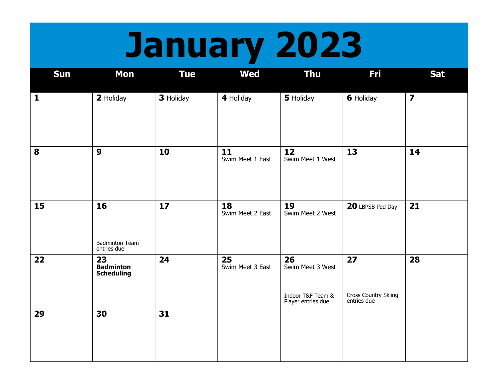# **January 2023**

| Sun          | <b>Mon</b>                                  | <b>Tue</b> | <b>Wed</b>             | <b>Thu</b>                                                        | <b>Fri</b>                                | <b>Sat</b>              |
|--------------|---------------------------------------------|------------|------------------------|-------------------------------------------------------------------|-------------------------------------------|-------------------------|
| $\mathbf{1}$ | 2 Holiday                                   | 3 Holiday  | 4 Holiday              | 5 Holiday                                                         | <b>6</b> Holiday                          | $\overline{\mathbf{z}}$ |
| 8            | $\boldsymbol{9}$                            | 10         | 11<br>Swim Meet 1 East | 12<br>Swim Meet 1 West                                            | 13                                        | 14                      |
| 15           | 16<br><b>Badminton Team</b><br>entries due  | 17         | 18<br>Swim Meet 2 East | 19<br>Swim Meet 2 West                                            | 20 LBPSB Ped Day                          | 21                      |
| 22           | 23<br><b>Badminton</b><br><b>Scheduling</b> | 24         | 25<br>Swim Meet 3 East | 26<br>Swim Meet 3 West<br>Indoor T&F Team &<br>Player entries due | 27<br>Cross Country Skiing<br>entries due | 28                      |
| 29           | 30                                          | 31         |                        |                                                                   |                                           |                         |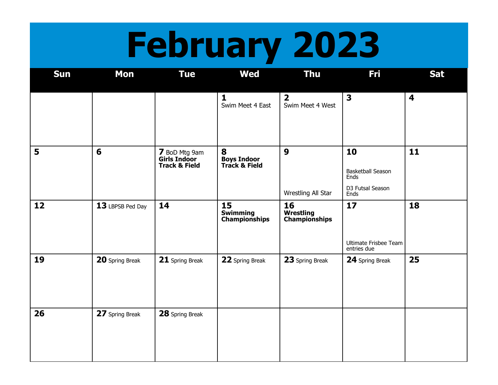# **February 2023**

| <b>Sun</b> | <b>Mon</b>       | <b>Tue</b>                                                       | <b>Wed</b>                                    | <b>Thu</b>                                  | Fri                                                         | <b>Sat</b>              |
|------------|------------------|------------------------------------------------------------------|-----------------------------------------------|---------------------------------------------|-------------------------------------------------------------|-------------------------|
|            |                  |                                                                  | $\mathbf{1}$<br>Swim Meet 4 East              | $\overline{\mathbf{2}}$<br>Swim Meet 4 West | $\overline{\mathbf{3}}$                                     | $\overline{\mathbf{4}}$ |
| 5          | 6                | 7 BoD Mtg 9am<br><b>Girls Indoor</b><br><b>Track &amp; Field</b> | 8<br><b>Boys Indoor<br/>Track &amp; Field</b> | $\boldsymbol{9}$<br>Wrestling All Star      | 10<br>Basketball Season<br>Ends<br>D3 Futsal Season<br>Ends | 11                      |
| 12         | 13 LBPSB Ped Day | 14                                                               | 15<br><b>Swimming</b><br>Championships        | 16<br><b>Wrestling</b><br>Championships     | 17<br>Ultimate Frisbee Team<br>entries due                  | 18                      |
| 19         | 20 Spring Break  | 21 Spring Break                                                  | 22 Spring Break                               | 23 Spring Break                             | 24 Spring Break                                             | 25                      |
| 26         | 27 Spring Break  | 28 Spring Break                                                  |                                               |                                             |                                                             |                         |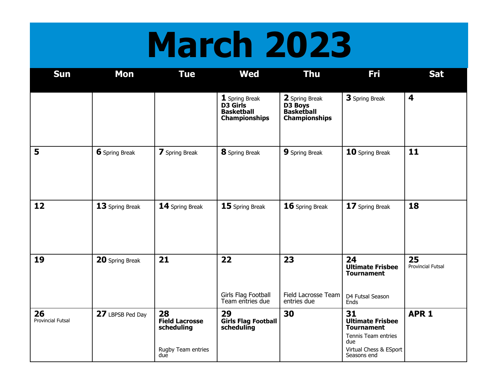## **March 2023**

| Sun                            | <b>Mon</b>       | <b>Tue</b>                                                             | <b>Wed</b>                                                                     | <b>Thu</b>                                                      | Fri                                                                                                                       | <b>Sat</b>                     |
|--------------------------------|------------------|------------------------------------------------------------------------|--------------------------------------------------------------------------------|-----------------------------------------------------------------|---------------------------------------------------------------------------------------------------------------------------|--------------------------------|
|                                |                  |                                                                        | 1 Spring Break<br><b>D3</b> Girls<br><b>Basketball</b><br><b>Championships</b> | 2 Spring Break<br>D3 Boys<br>Basketball<br><b>Championships</b> | 3 Spring Break                                                                                                            | $\overline{\mathbf{4}}$        |
| 5                              | 6 Spring Break   | 7 Spring Break                                                         | 8 Spring Break                                                                 | 9 Spring Break                                                  | 10 Spring Break                                                                                                           | 11                             |
| 12                             | 13 Spring Break  | 14 Spring Break                                                        | 15 Spring Break                                                                | 16 Spring Break                                                 | 17 Spring Break                                                                                                           | 18                             |
| 19                             | 20 Spring Break  | 21                                                                     | 22<br>Girls Flag Football<br>Team entries due                                  | 23<br>Field Lacrosse Team<br>entries due                        | 24<br><b>Ultimate Frisbee</b><br><b>Tournament</b><br>D4 Futsal Season<br>Ends                                            | 25<br><b>Provincial Futsal</b> |
| 26<br><b>Provincial Futsal</b> | 27 LBPSB Ped Day | 28<br><b>Field Lacrosse</b><br>scheduling<br>Rugby Team entries<br>due | 29<br><b>Girls Flag Football</b><br>scheduling                                 | 30                                                              | 31<br><b>Ultimate Frisbee</b><br><b>Tournament</b><br>Tennis Team entries<br>due<br>Virtual Chess & ESport<br>Seasons end | APR <sub>1</sub>               |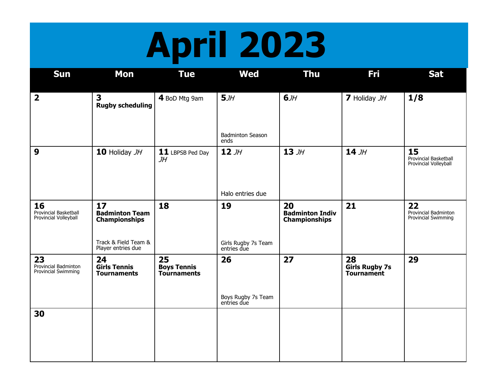# **April 2023**

| <b>Sun</b>                                           | <b>Mon</b>                                          | <b>Tue</b>                                     | <b>Wed</b>                              | <b>Thu</b>                                           | Fri                                              | <b>Sat</b>                                           |
|------------------------------------------------------|-----------------------------------------------------|------------------------------------------------|-----------------------------------------|------------------------------------------------------|--------------------------------------------------|------------------------------------------------------|
| $\overline{\mathbf{2}}$                              | $\overline{\mathbf{3}}$<br><b>Rugby scheduling</b>  | 4 BoD Mtg 9am                                  | 5JH                                     | 6JH                                                  | 7 Holiday JH                                     | 1/8                                                  |
|                                                      |                                                     |                                                | <b>Badminton Season</b><br>ends         |                                                      |                                                  |                                                      |
| $\boldsymbol{9}$                                     | 10 Holiday JH                                       | 11 LBPSB Ped Day<br>JH                         | $12 \,$ JH                              | $13 \,$ JH                                           | $14$ JH                                          | 15<br>Provincial Basketball<br>Provincial Volleyball |
|                                                      |                                                     |                                                | Halo entries due                        |                                                      |                                                  |                                                      |
| 16<br>Provincial Basketball<br>Provincial Volleyball | 17<br><b>Badminton Team</b><br><b>Championships</b> | 18                                             | 19                                      | 20<br><b>Badminton Indiv</b><br><b>Championships</b> | 21                                               | 22<br>Provincial Badminton<br>Provincial Swimming    |
|                                                      | Track & Field Team &<br>Player entries due          |                                                | Girls Rugby 7s Team<br>entries due      |                                                      |                                                  |                                                      |
| 23<br>Provincial Badminton<br>Provincial Swimming    | 24<br><b>Girls Tennis</b><br><b>Tournaments</b>     | 25<br><b>Boys Tennis</b><br><b>Tournaments</b> | 26<br>Boys Rugby 7s Team<br>entries due | 27                                                   | 28<br><b>Girls Rugby 7s</b><br><b>Tournament</b> | 29                                                   |
| 30                                                   |                                                     |                                                |                                         |                                                      |                                                  |                                                      |
|                                                      |                                                     |                                                |                                         |                                                      |                                                  |                                                      |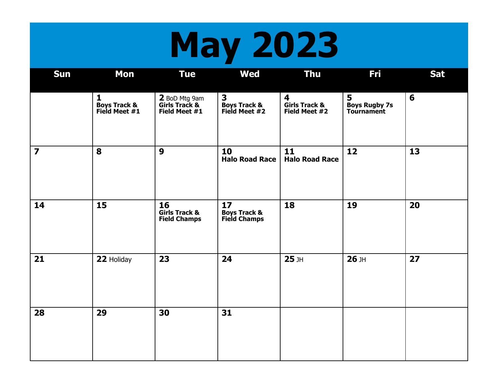# **May 2023**

| <b>Sun</b>     | <b>Mon</b>                                               | <b>Tue</b>                                            | <b>Wed</b>                                                 | <b>Thu</b>                                                | Fri                                            | <b>Sat</b> |
|----------------|----------------------------------------------------------|-------------------------------------------------------|------------------------------------------------------------|-----------------------------------------------------------|------------------------------------------------|------------|
|                | $\mathbf{1}$<br><b>Boys Track &amp;</b><br>Field Meet #1 | 2 BoD Mtg 9am<br>Girls Track &<br>Field Meet #1       | 3<br><b>Boys Track &amp;</b><br>Field Meet #2              | $\overline{\mathbf{4}}$<br>Girls Track &<br>Field Meet #2 | 5<br><b>Boys Rugby 7s</b><br><b>Tournament</b> | 6          |
| $\overline{7}$ | 8                                                        | 9                                                     | 10<br><b>Halo Road Race</b>                                | 11<br><b>Halo Road Race</b>                               | 12                                             | 13         |
| 14             | 15                                                       | 16<br><b>Girls Track &amp;</b><br><b>Field Champs</b> | 17 <sub>2</sub><br><b>Boys Track &amp;</b><br>Field Champs | 18                                                        | 19                                             | 20         |
| 21             | 22 Holiday                                               | 23                                                    | 24                                                         | $25$ JH                                                   | $26$ JH                                        | 27         |
| 28             | 29                                                       | 30                                                    | 31                                                         |                                                           |                                                |            |